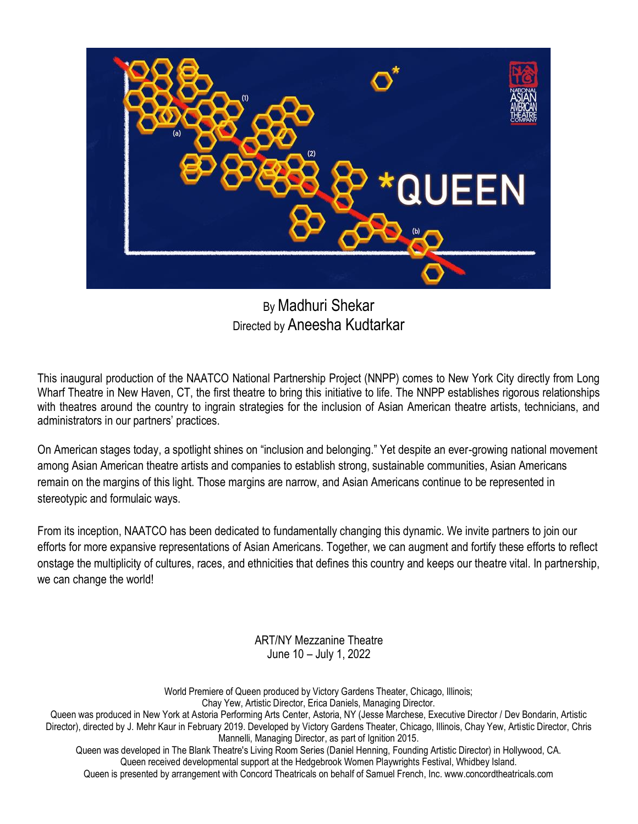

By Madhuri Shekar Directed by Aneesha Kudtarkar

This inaugural production of the NAATCO National Partnership Project (NNPP) comes to New York City directly from Long Wharf Theatre in New Haven, CT, the first theatre to bring this initiative to life. The NNPP establishes rigorous relationships with theatres around the country to ingrain strategies for the inclusion of Asian American theatre artists, technicians, and administrators in our partners' practices.

On American stages today, a spotlight shines on "inclusion and belonging." Yet despite an ever-growing national movement among Asian American theatre artists and companies to establish strong, sustainable communities, Asian Americans remain on the margins of this light. Those margins are narrow, and Asian Americans continue to be represented in stereotypic and formulaic ways.

From its inception, NAATCO has been dedicated to fundamentally changing this dynamic. We invite partners to join our efforts for more expansive representations of Asian Americans. Together, we can augment and fortify these efforts to reflect onstage the multiplicity of cultures, races, and ethnicities that defines this country and keeps our theatre vital. In partnership, we can change the world!

> ART/NY Mezzanine Theatre June 10 – July 1, 2022

World Premiere of Queen produced by Victory Gardens Theater, Chicago, Illinois; Chay Yew, Artistic Director, Erica Daniels, Managing Director.

Queen was produced in New York at Astoria Performing Arts Center, Astoria, NY (Jesse Marchese, Executive Director / Dev Bondarin, Artistic Director), directed by J. Mehr Kaur in February 2019. Developed by Victory Gardens Theater, Chicago, Illinois, Chay Yew, Artistic Director, Chris Mannelli, Managing Director, as part of Ignition 2015. Queen was developed in The Blank Theatre's Living Room Series (Daniel Henning, Founding Artistic Director) in Hollywood, CA.

Queen received developmental support at the Hedgebrook Women Playwrights Festival, Whidbey Island. Queen is presented by arrangement with Concord Theatricals on behalf of Samuel French, Inc. www.concordtheatricals.com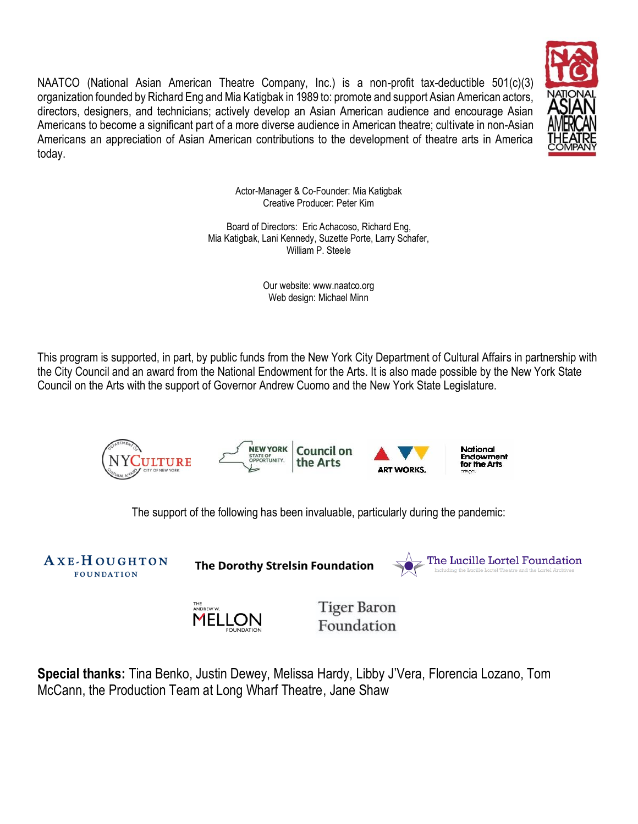NAATCO (National Asian American Theatre Company, Inc.) is a non-profit tax-deductible 501(c)(3) organization founded by Richard Eng and Mia Katigbak in 1989 to: promote and support Asian American actors, directors, designers, and technicians; actively develop an Asian American audience and encourage Asian Americans to become a significant part of a more diverse audience in American theatre; cultivate in non-Asian Americans an appreciation of Asian American contributions to the development of theatre arts in America today.



Actor-Manager & Co-Founder: Mia Katigbak Creative Producer: Peter Kim

Board of Directors: Eric Achacoso, Richard Eng, Mia Katigbak, Lani Kennedy, Suzette Porte, Larry Schafer, William P. Steele

> Our website: www.naatco.org Web design: Michael Minn

This program is supported, in part, by public funds from the New York City Department of Cultural Affairs in partnership with the City Council and an award from the National Endowment for the Arts. It is also made possible by the New York State Council on the Arts with the support of Governor Andrew Cuomo and the New York State Legislature.



The support of the following has been invaluable, particularly during the pandemic:

AXE-HOUGHTON **FOUNDATION** 

The Dorothy Strelsin Foundation





**Tiger Baron** Foundation

**Special thanks:** Tina Benko, Justin Dewey, Melissa Hardy, Libby J'Vera, Florencia Lozano, Tom McCann, the Production Team at Long Wharf Theatre, Jane Shaw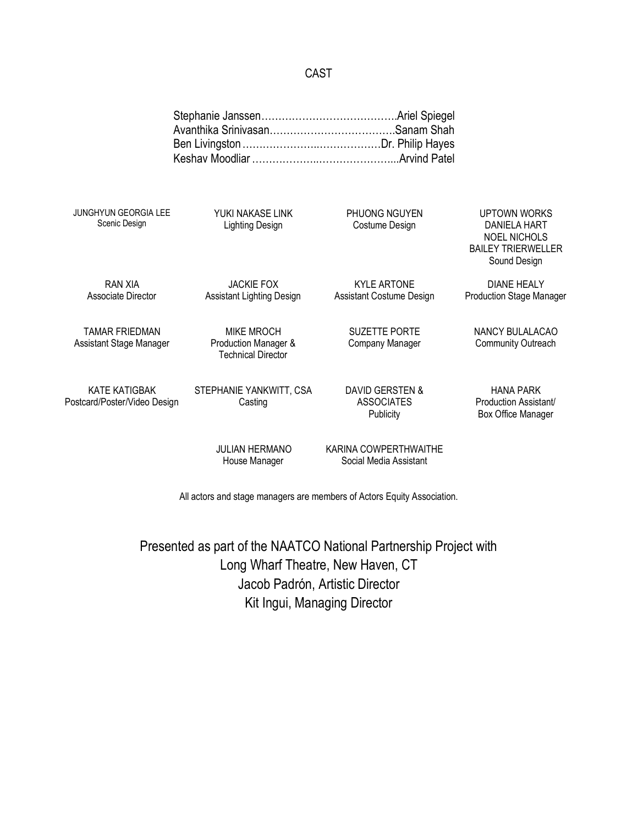## CAST

| <b>JUNGHYUN GEORGIA LEE</b>                          | YUKI NAKASE LINK                                                       | <b>PHUONG NGUYEN</b>                                  | UPTOWN WORKS                                                                            |
|------------------------------------------------------|------------------------------------------------------------------------|-------------------------------------------------------|-----------------------------------------------------------------------------------------|
| Scenic Design                                        | <b>Lighting Design</b>                                                 | Costume Design                                        | <b>DANIELA HART</b><br><b>NOEL NICHOLS</b><br><b>BAILEY TRIERWELLER</b><br>Sound Design |
| RAN XIA<br>Associate Director                        | <b>JACKIE FOX</b><br><b>Assistant Lighting Design</b>                  | <b>KYLE ARTONE</b><br>Assistant Costume Design        | <b>DIANE HEALY</b><br><b>Production Stage Manager</b>                                   |
| <b>TAMAR FRIEDMAN</b><br>Assistant Stage Manager     | <b>MIKE MROCH</b><br>Production Manager &<br><b>Technical Director</b> | <b>SUZETTE PORTE</b><br>Company Manager               | NANCY BULALACAO<br><b>Community Outreach</b>                                            |
| <b>KATE KATIGBAK</b><br>Postcard/Poster/Video Design | STEPHANIE YANKWITT, CSA<br>Casting                                     | DAVID GERSTEN &<br><b>ASSOCIATES</b><br>Publicity     | <b>HANA PARK</b><br>Production Assistant/<br><b>Box Office Manager</b>                  |
|                                                      | II II IAN I I E D N I AN                                               | $\mathcal{V}$ adinia $\mathcal{C}$ ompedei imiaiti if |                                                                                         |

House Manager

JULIAN HERMANO KARINA COWPERTHWAITHE Social Media Assistant

All actors and stage managers are members of Actors Equity Association.

Presented as part of the NAATCO National Partnership Project with Long Wharf Theatre, New Haven, CT Jacob Padrón, Artistic Director Kit Ingui, Managing Director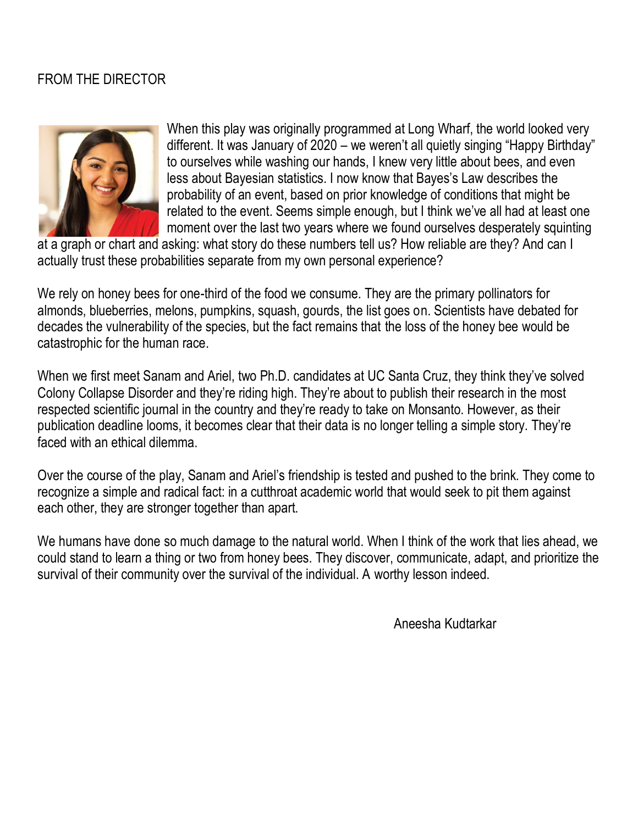## FROM THE DIRECTOR



When this play was originally programmed at Long Wharf, the world looked very different. It was January of 2020 – we weren't all quietly singing "Happy Birthday" to ourselves while washing our hands, I knew very little about bees, and even less about Bayesian statistics. I now know that Bayes's Law describes the probability of an event, based on prior knowledge of conditions that might be related to the event. Seems simple enough, but I think we've all had at least one moment over the last two years where we found ourselves desperately squinting

at a graph or chart and asking: what story do these numbers tell us? How reliable are they? And can I actually trust these probabilities separate from my own personal experience?

We rely on honey bees for one-third of the food we consume. They are the primary pollinators for almonds, blueberries, melons, pumpkins, squash, gourds, the list goes on. Scientists have debated for decades the vulnerability of the species, but the fact remains that the loss of the honey bee would be catastrophic for the human race.

When we first meet Sanam and Ariel, two Ph.D. candidates at UC Santa Cruz, they think they've solved Colony Collapse Disorder and they're riding high. They're about to publish their research in the most respected scientific journal in the country and they're ready to take on Monsanto. However, as their publication deadline looms, it becomes clear that their data is no longer telling a simple story. They're faced with an ethical dilemma.

Over the course of the play, Sanam and Ariel's friendship is tested and pushed to the brink. They come to recognize a simple and radical fact: in a cutthroat academic world that would seek to pit them against each other, they are stronger together than apart.

We humans have done so much damage to the natural world. When I think of the work that lies ahead, we could stand to learn a thing or two from honey bees. They discover, communicate, adapt, and prioritize the survival of their community over the survival of the individual. A worthy lesson indeed.

Aneesha Kudtarkar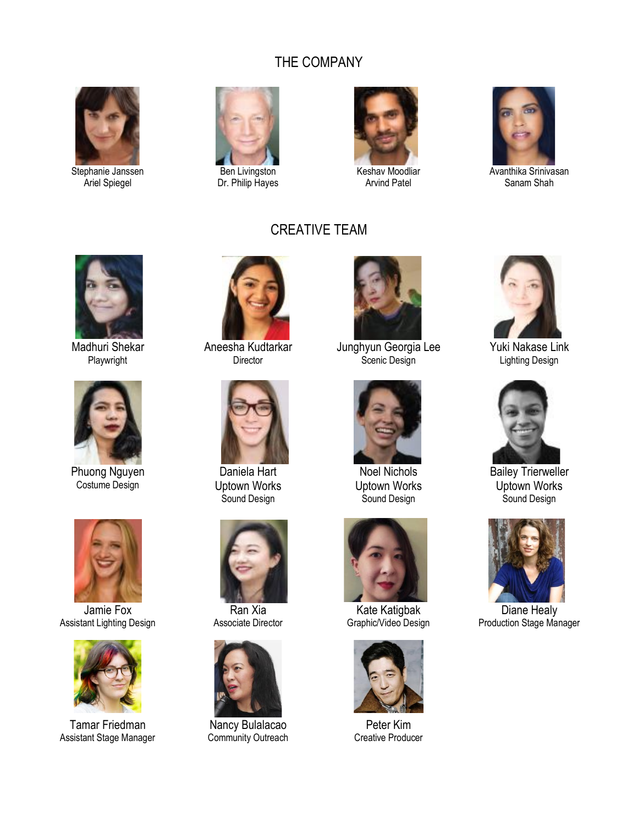## THE COMPANY

CREATIVE TEAM



Stephanie Janssen Ariel Spiegel



Dr. Philip Hayes



Keshav Moodliar Arvind Patel



Avanthika Srinivasan Sanam Shah



Madhuri Shekar Playwright



Phuong Nguyen Costume Design



Jamie Fox Assistant Lighting Design



Tamar Friedman Assistant Stage Manager



Aneesha Kudtarkar **Director** 



Daniela Hart Uptown Works Sound Design



Ran Xia Associate Director



Nancy Bulalacao Community Outreach



Junghyun Georgia Lee Scenic Design



Noel Nichols Uptown Works Sound Design



Kate Katigbak Graphic/Video Design



Peter Kim Creative Producer



Yuki Nakase Link Lighting Design



Bailey Trierweller Uptown Works Sound Design



Diane Healy Production Stage Manager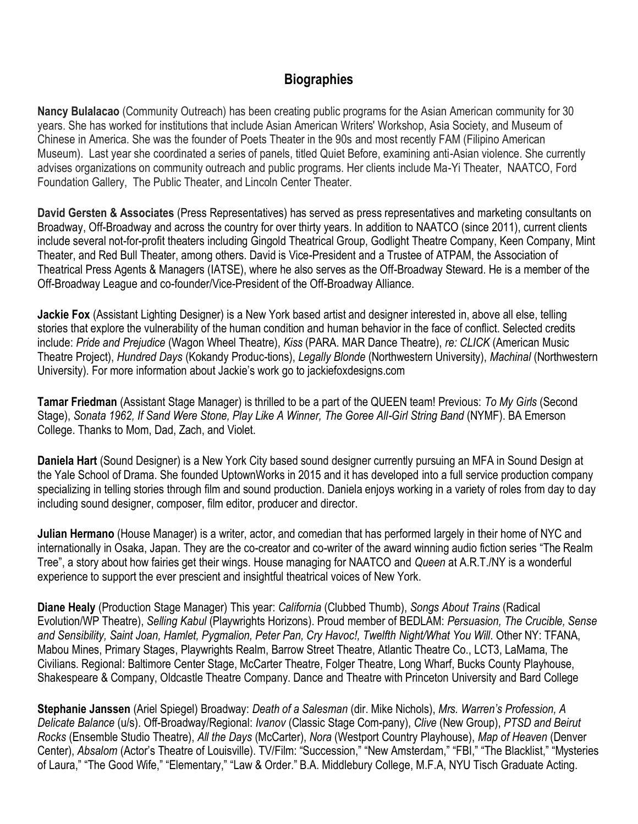## **Biographies**

**Nancy Bulalacao** (Community Outreach) has been creating public programs for the Asian American community for 30 years. She has worked for institutions that include Asian American Writers' Workshop, Asia Society, and Museum of Chinese in America. She was the founder of Poets Theater in the 90s and most recently FAM (Filipino American Museum). Last year she coordinated a series of panels, titled Quiet Before, examining anti-Asian violence. She currently advises organizations on community outreach and public programs. Her clients include Ma-Yi Theater, NAATCO, Ford Foundation Gallery, The Public Theater, and Lincoln Center Theater.

**David Gersten & Associates** (Press Representatives) has served as press representatives and marketing consultants on Broadway, Off-Broadway and across the country for over thirty years. In addition to NAATCO (since 2011), current clients include several not-for-profit theaters including Gingold Theatrical Group, Godlight Theatre Company, Keen Company, Mint Theater, and Red Bull Theater, among others. David is Vice-President and a Trustee of ATPAM, the Association of Theatrical Press Agents & Managers (IATSE), where he also serves as the Off-Broadway Steward. He is a member of the Off-Broadway League and co-founder/Vice-President of the Off-Broadway Alliance.

**Jackie Fox** (Assistant Lighting Designer) is a New York based artist and designer interested in, above all else, telling stories that explore the vulnerability of the human condition and human behavior in the face of conflict. Selected credits include: *Pride and Prejudice* (Wagon Wheel Theatre), *Kiss* (PARA. MAR Dance Theatre), *re: CLICK* (American Music Theatre Project), *Hundred Days* (Kokandy Produc-tions), *Legally Blonde* (Northwestern University), *Machinal* (Northwestern University). For more information about Jackie's work go to jackiefoxdesigns.com

**Tamar Friedman** (Assistant Stage Manager) is thrilled to be a part of the QUEEN team! Previous: *To My Girls* (Second Stage), *Sonata 1962, If Sand Were Stone, Play Like A Winner, The Goree All-Girl String Band* (NYMF). BA Emerson College. Thanks to Mom, Dad, Zach, and Violet.

**Daniela Hart** (Sound Designer) is a New York City based sound designer currently pursuing an MFA in Sound Design at the Yale School of Drama. She founded UptownWorks in 2015 and it has developed into a full service production company specializing in telling stories through film and sound production. Daniela enjoys working in a variety of roles from day to day including sound designer, composer, film editor, producer and director.

**Julian Hermano** (House Manager) is a writer, actor, and comedian that has performed largely in their home of NYC and internationally in Osaka, Japan. They are the co-creator and co-writer of the award winning audio fiction series "The Realm Tree", a story about how fairies get their wings. House managing for NAATCO and *Queen* at A.R.T./NY is a wonderful experience to support the ever prescient and insightful theatrical voices of New York.

**Diane Healy** (Production Stage Manager) This year: *California* (Clubbed Thumb), *Songs About Trains* (Radical Evolution/WP Theatre), *Selling Kabul* (Playwrights Horizons). Proud member of BEDLAM: *Persuasion, The Crucible, Sense and Sensibility, Saint Joan, Hamlet, Pygmalion, Peter Pan, Cry Havoc!, Twelfth Night/What You Will*. Other NY: TFANA, Mabou Mines, Primary Stages, Playwrights Realm, Barrow Street Theatre, Atlantic Theatre Co., LCT3, LaMama, The Civilians. Regional: Baltimore Center Stage, McCarter Theatre, Folger Theatre, Long Wharf, Bucks County Playhouse, Shakespeare & Company, Oldcastle Theatre Company. Dance and Theatre with Princeton University and Bard College

**Stephanie Janssen** (Ariel Spiegel) Broadway: *Death of a Salesman* (dir. Mike Nichols), *Mrs. Warren's Profession, A Delicate Balance* (u/s). Off-Broadway/Regional: *Ivanov* (Classic Stage Com-pany), *Clive* (New Group), *PTSD and Beirut Rocks* (Ensemble Studio Theatre), *All the Days* (McCarter), *Nora* (Westport Country Playhouse), *Map of Heaven* (Denver Center), *Absalom* (Actor's Theatre of Louisville). TV/Film: "Succession," "New Amsterdam," "FBI," "The Blacklist," "Mysteries of Laura," "The Good Wife," "Elementary," "Law & Order." B.A. Middlebury College, M.F.A, NYU Tisch Graduate Acting.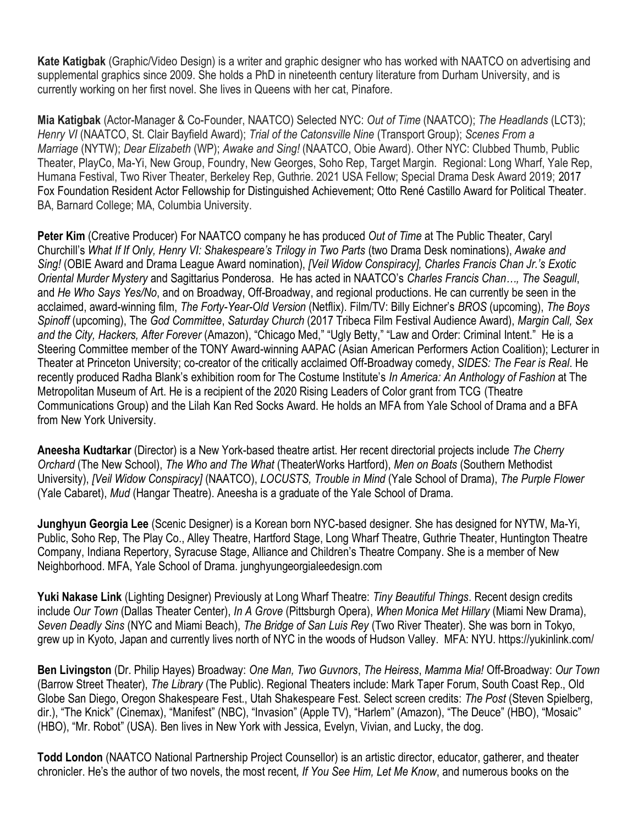**Kate Katigbak** (Graphic/Video Design) is a writer and graphic designer who has worked with NAATCO on advertising and supplemental graphics since 2009. She holds a PhD in nineteenth century literature from Durham University, and is currently working on her first novel. She lives in Queens with her cat, Pinafore.

**Mia Katigbak** (Actor-Manager & Co-Founder, NAATCO) Selected NYC: *Out of Time* (NAATCO); *The Headlands* (LCT3); *Henry VI* (NAATCO, St. Clair Bayfield Award); *Trial of the Catonsville Nine* (Transport Group); *Scenes From a Marriage* (NYTW); *Dear Elizabeth* (WP); *Awake and Sing!* (NAATCO, Obie Award). Other NYC: Clubbed Thumb, Public Theater, PlayCo, Ma-Yi, New Group, Foundry, New Georges, Soho Rep, Target Margin. Regional: Long Wharf, Yale Rep, Humana Festival, Two River Theater, Berkeley Rep, Guthrie. 2021 USA Fellow; Special Drama Desk Award 2019; 2017 Fox Foundation Resident Actor Fellowship for Distinguished Achievement; Otto René Castillo Award for Political Theater. BA, Barnard College; MA, Columbia University.

**Peter Kim** (Creative Producer) For NAATCO company he has produced *Out of Time* at The Public Theater, Caryl Churchill's *What If If Only, Henry VI: Shakespeare's Trilogy in Two Parts* (two Drama Desk nominations), *Awake and Sing!* (OBIE Award and Drama League Award nomination), *[Veil Widow Conspiracy], Charles Francis Chan Jr.'s Exotic Oriental Murder Mystery* and Sagittarius Ponderosa. He has acted in NAATCO's *Charles Francis Chan…, The Seagull*, and *He Who Says Yes/No*, and on Broadway, Off-Broadway, and regional productions. He can currently be seen in the acclaimed, award-winning film, *The Forty-Year-Old Version* (Netflix). Film/TV: Billy Eichner's *BROS* (upcoming), *The Boys Spinoff* (upcoming), The *God Committee*, *Saturday Church* (2017 Tribeca Film Festival Audience Award), *Margin Call, Sex and the City, Hackers, After Forever* (Amazon), "Chicago Med," "Ugly Betty," "Law and Order: Criminal Intent." He is a Steering Committee member of the TONY Award-winning AAPAC (Asian American Performers Action Coalition); Lecturer in Theater at Princeton University; co-creator of the critically acclaimed Off-Broadway comedy, *SIDES: The Fear is Real*. He recently produced Radha Blank's exhibition room for The Costume Institute's *In America: An Anthology of Fashion* at The Metropolitan Museum of Art. He is a recipient of the 2020 Rising Leaders of Color grant from TCG (Theatre Communications Group) and the Lilah Kan Red Socks Award. He holds an MFA from Yale School of Drama and a BFA from New York University.

**Aneesha Kudtarkar** (Director) is a New York-based theatre artist. Her recent directorial projects include *The Cherry Orchard* (The New School), *The Who and The What* (TheaterWorks Hartford), *Men on Boats* (Southern Methodist University), *[Veil Widow Conspiracy]* (NAATCO), *LOCUSTS, Trouble in Mind* (Yale School of Drama), *The Purple Flower* (Yale Cabaret), *Mud* (Hangar Theatre). Aneesha is a graduate of the Yale School of Drama.

**Junghyun Georgia Lee** (Scenic Designer) is a Korean born NYC-based designer. She has designed for NYTW, Ma-Yi, Public, Soho Rep, The Play Co., Alley Theatre, Hartford Stage, Long Wharf Theatre, Guthrie Theater, Huntington Theatre Company, Indiana Repertory, Syracuse Stage, Alliance and Children's Theatre Company. She is a member of New Neighborhood. MFA, Yale School of Drama. junghyungeorgialeedesign.com

**Yuki Nakase Link** (Lighting Designer) Previously at Long Wharf Theatre: *Tiny Beautiful Things*. Recent design credits include *Our Town* (Dallas Theater Center), *In A Grove* (Pittsburgh Opera), *When Monica Met Hillary* (Miami New Drama), *Seven Deadly Sins* (NYC and Miami Beach), *The Bridge of San Luis Rey* (Two River Theater). She was born in Tokyo, grew up in Kyoto, Japan and currently lives north of NYC in the woods of Hudson Valley. MFA: NYU. https://yukinlink.com/

**Ben Livingston** (Dr. Philip Hayes) Broadway: *One Man, Two Guvnors*, *The Heiress*, *Mamma Mia!* Off-Broadway: *Our Town* (Barrow Street Theater), *The Library* (The Public). Regional Theaters include: Mark Taper Forum, South Coast Rep., Old Globe San Diego, Oregon Shakespeare Fest., Utah Shakespeare Fest. Select screen credits: *The Post* (Steven Spielberg, dir.), "The Knick" (Cinemax), "Manifest" (NBC), "Invasion" (Apple TV), "Harlem" (Amazon), "The Deuce" (HBO), "Mosaic" (HBO), "Mr. Robot" (USA). Ben lives in New York with Jessica, Evelyn, Vivian, and Lucky, the dog.

**Todd London** (NAATCO National Partnership Project Counsellor) is an artistic director, educator, gatherer, and theater chronicler. He's the author of two novels, the most recent*, If You See Him, Let Me Know*, and numerous books on the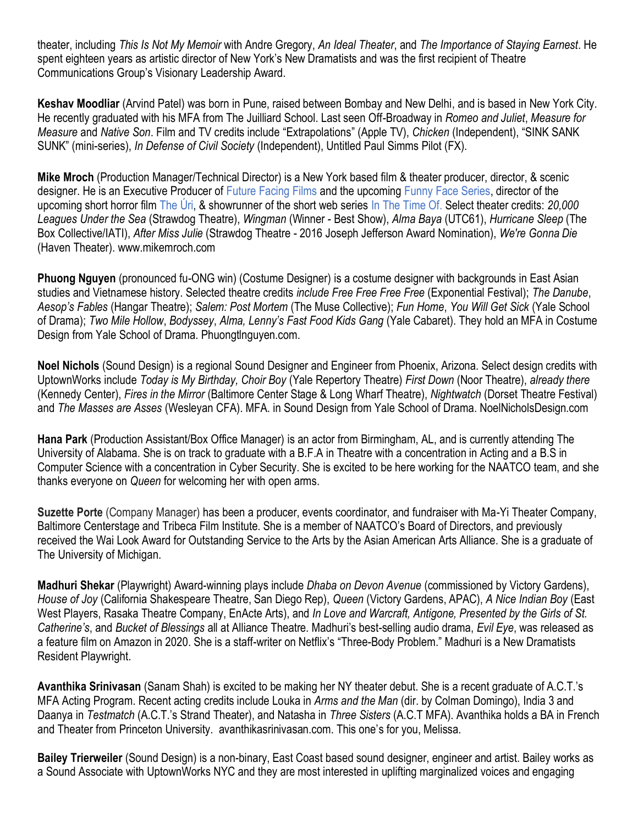theater, including *This Is Not My Memoir* with Andre Gregory, *An Ideal Theater*, and *The Importance of Staying Earnest*. He spent eighteen years as artistic director of New York's New Dramatists and was the first recipient of Theatre Communications Group's Visionary Leadership Award.

**Keshav Moodliar** (Arvind Patel) was born in Pune, raised between Bombay and New Delhi, and is based in New York City. He recently graduated with his MFA from The Juilliard School. Last seen Off-Broadway in *Romeo and Juliet*, *Measure for Measure* and *Native Son*. Film and TV credits include "Extrapolations" (Apple TV), *Chicken* (Independent), "SINK SANK SUNK" (mini-series), *In Defense of Civil Society* (Independent), Untitled Paul Simms Pilot (FX).

**Mike Mroch** (Production Manager/Technical Director) is a New York based film & theater producer, director, & scenic designer. He is an Executive Producer of [Future Facing Films](http://www.futurefacingfilms.com/) and the upcomin[g Funny Face Series,](https://www.futurefacingfilms.com/funnyface) director of the upcoming short horror film [The Úri,](https://www.theurifilm.com/) & showrunner of the short web series [In The Time Of.](http://www.instagram.com/intimeof) Select theater credits: *20,000 Leagues Under the Sea* (Strawdog Theatre), *Wingman* (Winner - Best Show), *Alma Baya* (UTC61), *Hurricane Sleep* (The Box Collective/IATI), *After Miss Julie* (Strawdog Theatre - 2016 Joseph Jefferson Award Nomination), *We're Gonna Die* (Haven Theater). [www.mikemroch.com](http://www.mikemroch.com/)

**Phuong Nguyen** (pronounced fu-ONG win) (Costume Designer) is a costume designer with backgrounds in East Asian studies and Vietnamese history. Selected theatre credits *include Free Free Free Free* (Exponential Festival); *The Danube*, *Aesop's Fables* (Hangar Theatre); *Salem: Post Mortem* (The Muse Collective); *Fun Home*, *You Will Get Sick* (Yale School of Drama); *Two Mile Hollow*, *Bodyssey*, *Alma, Lenny's Fast Food Kids Gang* (Yale Cabaret). They hold an MFA in Costume Design from Yale School of Drama. Phuongtlnguyen.com.

**Noel Nichols** (Sound Design) is a regional Sound Designer and Engineer from Phoenix, Arizona. Select design credits with UptownWorks include *Today is My Birthday, Choir Boy* (Yale Repertory Theatre) *First Down* (Noor Theatre), *already there* (Kennedy Center), *Fires in the Mirror* (Baltimore Center Stage & Long Wharf Theatre), *Nightwatch* (Dorset Theatre Festival) and *The Masses are Asses* (Wesleyan CFA). MFA. in Sound Design from Yale School of Drama. NoelNicholsDesign.com

**Hana Park** (Production Assistant/Box Office Manager) is an actor from Birmingham, AL, and is currently attending The University of Alabama. She is on track to graduate with a B.F.A in Theatre with a concentration in Acting and a B.S in Computer Science with a concentration in Cyber Security. She is excited to be here working for the NAATCO team, and she thanks everyone on *Queen* for welcoming her with open arms.

**Suzette Porte** (Company Manager) has been a producer, events coordinator, and fundraiser with Ma-Yi Theater Company, Baltimore Centerstage and Tribeca Film Institute. She is a member of NAATCO's Board of Directors, and previously received the Wai Look Award for Outstanding Service to the Arts by the Asian American Arts Alliance. She is a graduate of The University of Michigan.

**Madhuri Shekar** (Playwright) Award-winning plays include *Dhaba on Devon Avenue* (commissioned by Victory Gardens), *House of Joy* (California Shakespeare Theatre, San Diego Rep), *Queen* (Victory Gardens, APAC), *A Nice Indian Boy* (East West Players, Rasaka Theatre Company, EnActe Arts), and *In Love and Warcraft, Antigone, Presented by the Girls of St. Catherine's*, and *Bucket of Blessings* all at Alliance Theatre. Madhuri's best-selling audio drama, *Evil Eye*, was released as a feature film on Amazon in 2020. She is a staff-writer on Netflix's "Three-Body Problem." Madhuri is a New Dramatists Resident Playwright.

**Avanthika Srinivasan** (Sanam Shah) is excited to be making her NY theater debut. She is a recent graduate of A.C.T.'s MFA Acting Program. Recent acting credits include Louka in *Arms and the Man* (dir. by Colman Domingo), India 3 and Daanya in *Testmatch* (A.C.T.'s Strand Theater), and Natasha in *Three Sisters* (A.C.T MFA). Avanthika holds a BA in French and Theater from Princeton University. avanthikasrinivasan.com. This one's for you, Melissa.

**Bailey Trierweiler** (Sound Design) is a non-binary, East Coast based sound designer, engineer and artist. Bailey works as a Sound Associate with UptownWorks NYC and they are most interested in uplifting marginalized voices and engaging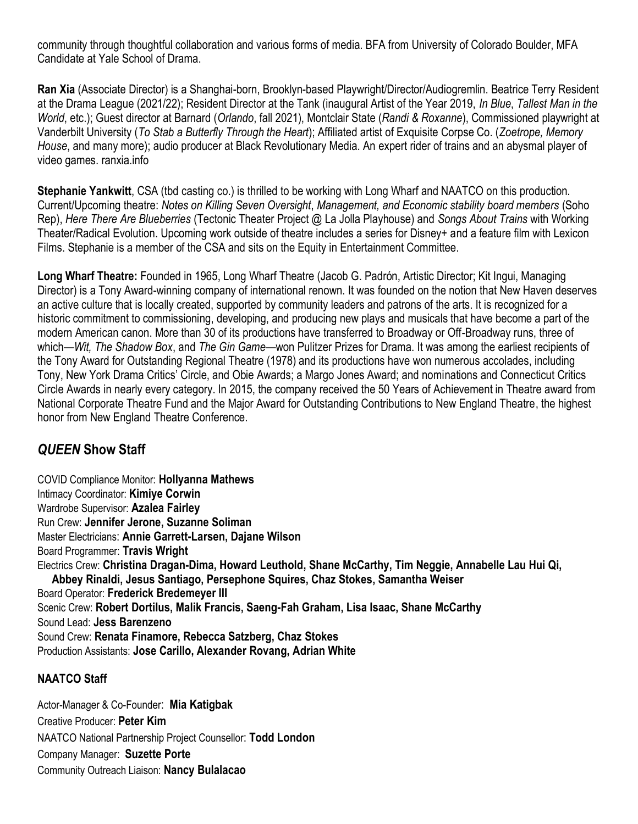community through thoughtful collaboration and various forms of media. BFA from University of Colorado Boulder, MFA Candidate at Yale School of Drama.

**Ran Xia** (Associate Director) is a Shanghai-born, Brooklyn-based Playwright/Director/Audiogremlin. Beatrice Terry Resident at the Drama League (2021/22); Resident Director at the Tank (inaugural Artist of the Year 2019, *In Blue*, *Tallest Man in the World*, etc.); Guest director at Barnard (*Orlando*, fall 2021), Montclair State (*Randi & Roxanne*), Commissioned playwright at Vanderbilt University (*To Stab a Butterfly Through the Heart*); Affiliated artist of Exquisite Corpse Co. (*Zoetrope, Memory House*, and many more); audio producer at Black Revolutionary Media. An expert rider of trains and an abysmal player of video games. ranxia.info

**Stephanie Yankwitt**, CSA (tbd casting co.) is thrilled to be working with Long Wharf and NAATCO on this production. Current/Upcoming theatre: *Notes on Killing Seven Oversight*, *Management, and Economic stability board members* (Soho Rep), *Here There Are Blueberries* (Tectonic Theater Project @ La Jolla Playhouse) and *Songs About Trains* with Working Theater/Radical Evolution. Upcoming work outside of theatre includes a series for Disney+ and a feature film with Lexicon Films. Stephanie is a member of the CSA and sits on the Equity in Entertainment Committee.

**Long Wharf Theatre:** Founded in 1965, Long Wharf Theatre (Jacob G. Padrón, Artistic Director; Kit Ingui, Managing Director) is a Tony Award-winning company of international renown. It was founded on the notion that New Haven deserves an active culture that is locally created, supported by community leaders and patrons of the arts. It is recognized for a historic commitment to commissioning, developing, and producing new plays and musicals that have become a part of the modern American canon. More than 30 of its productions have transferred to Broadway or Off-Broadway runs, three of which—*Wit, The Shadow Box*, and *The Gin Game*—won Pulitzer Prizes for Drama. It was among the earliest recipients of the Tony Award for Outstanding Regional Theatre (1978) and its productions have won numerous accolades, including Tony, New York Drama Critics' Circle, and Obie Awards; a Margo Jones Award; and nominations and Connecticut Critics Circle Awards in nearly every category. In 2015, the company received the 50 Years of Achievement in Theatre award from National Corporate Theatre Fund and the Major Award for Outstanding Contributions to New England Theatre, the highest honor from New England Theatre Conference.

## *QUEEN* **Show Staff**

COVID Compliance Monitor: **Hollyanna Mathews** Intimacy Coordinator: **Kimiye Corwin** Wardrobe Supervisor: **Azalea Fairley** Run Crew: **Jennifer Jerone, Suzanne Soliman** Master Electricians: **Annie Garrett-Larsen, Dajane Wilson** Board Programmer: **Travis Wright** Electrics Crew: **Christina Dragan-Dima, Howard Leuthold, Shane McCarthy, Tim Neggie, Annabelle Lau Hui Qi, Abbey Rinaldi, Jesus Santiago, Persephone Squires, Chaz Stokes, Samantha Weiser** Board Operator: **Frederick Bredemeyer III** Scenic Crew: **Robert Dortilus, Malik Francis, Saeng-Fah Graham, Lisa Isaac, Shane McCarthy** Sound Lead: **Jess Barenzeno** Sound Crew: **Renata Finamore, Rebecca Satzberg, Chaz Stokes** Production Assistants: **Jose Carillo, Alexander Rovang, Adrian White**

## **NAATCO Staff**

Actor-Manager & Co-Founder: **Mia Katigbak** Creative Producer: **Peter Kim** NAATCO National Partnership Project Counsellor: **Todd London** Company Manager: **Suzette Porte** Community Outreach Liaison: **Nancy Bulalacao**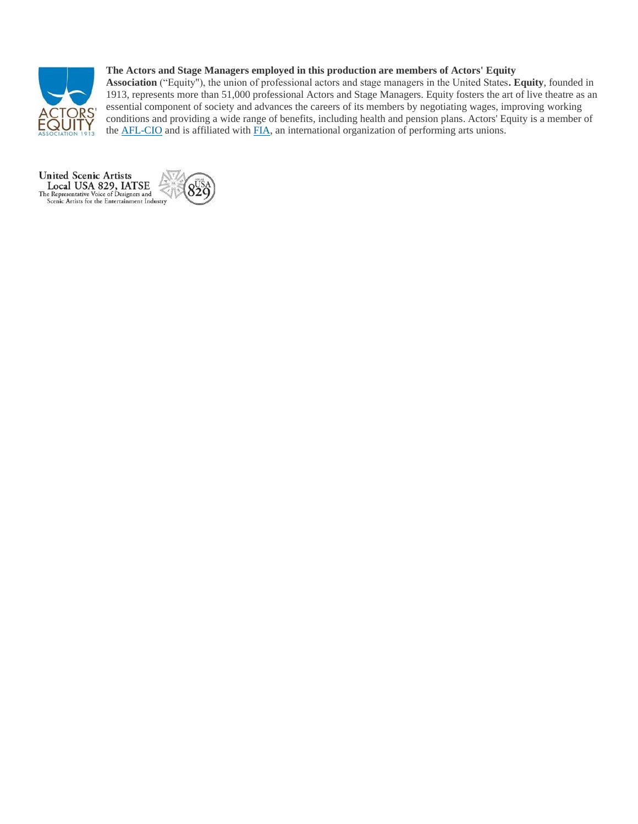

### **The Actors and Stage Managers employed in this production are members of Actors' Equity**

**Association** ("Equity"), the union of professional actors and stage managers in the United States**. Equity**, founded in 1913, represents more than 51,000 professional Actors and Stage Managers. Equity fosters the art of live theatre as an essential component of society and advances the careers of its members by negotiating wages, improving working conditions and providing a wide range of benefits, including health and pension plans. Actors' Equity is a member of the [AFL-CIO](http://aflcio.org/) and is affiliated with [FIA,](http://fia-actors.com/) an international organization of performing arts unions.

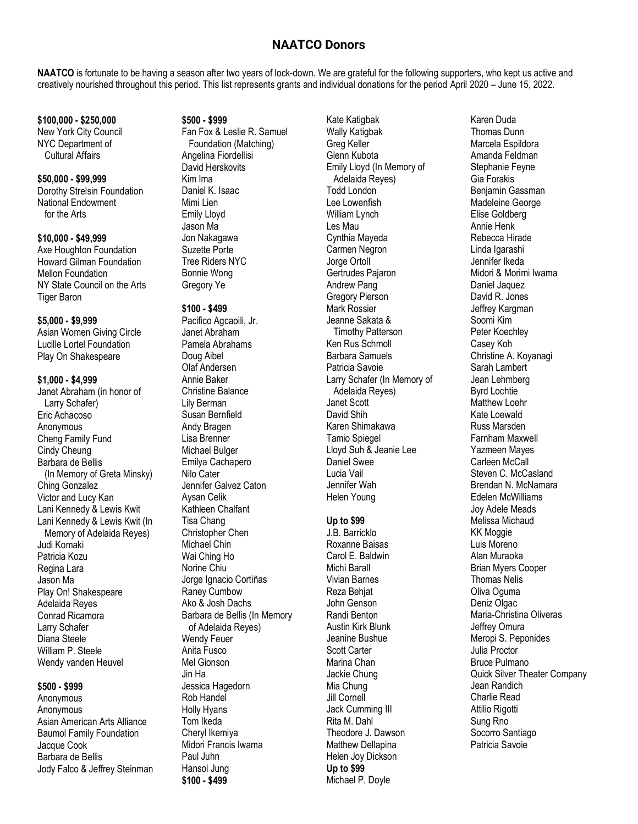## **NAATCO Donors**

**NAATCO** is fortunate to be having a season after two years of lock-down. We are grateful for the following supporters, who kept us active and creatively nourished throughout this period. This list represents grants and individual donations for the period April 2020 – June 15, 2022.

#### **\$100,000 - \$250,000** New York City Council NYC Department of Cultural Affairs

# **\$50,000 - \$99,999**

Dorothy Strelsin Foundation National Endowment for the Arts

### **\$10,000 - \$49,999**

Axe Houghton Foundation Howard Gilman Foundation Mellon Foundation NY State Council on the Arts **Tiger Baron** 

### **\$5,000 - \$9,999**

Asian Women Giving Circle Lucille Lortel Foundation Play On Shakespeare

### **\$1,000 - \$4,999**

Janet Abraham (in honor of Larry Schafer) Eric Achacoso Anonymous Cheng Family Fund Cindy Cheung Barbara de Bellis (In Memory of Greta Minsky) Ching Gonzalez Victor and Lucy Kan Lani Kennedy & Lewis Kwit Lani Kennedy & Lewis Kwit (In Memory of Adelaida Reyes) Judi Komaki Patricia Kozu Regina Lara Jason Ma Play On! Shakespeare Adelaida Reyes Conrad Ricamora Larry Schafer Diana Steele William P. Steele Wendy vanden Heuvel

### **\$500 - \$999**

Anonymous Anonymous Asian American Arts Alliance Baumol Family Foundation Jacque Cook Barbara de Bellis Jody Falco & Jeffrey Steinman

### **\$500 - \$999**

Fan Fox & Leslie R. Samuel Foundation (Matching) Angelina Fiordellisi David Herskovits Kim Ima Daniel K. Isaac Mimi Lien Emily Lloyd Jason Ma Jon Nakagawa Suzette Porte Tree Riders NYC Bonnie Wong Gregory Ye

### **\$100 - \$499**

Pacifico Agcaoili, Jr. Janet Abraham Pamela Abrahams Doug Aibel Olaf Andersen Annie Baker Christine Balance Lily Berman Susan Bernfield Andy Bragen Lisa Brenner Michael Bulger Emilya Cachapero Nilo Cater Jennifer Galvez Caton Aysan Celik Kathleen Chalfant Tisa Chang Christopher Chen Michael Chin Wai Ching Ho Norine Chiu Jorge Ignacio Cortiñas Raney Cumbow Ako & Josh Dachs Barbara de Bellis (In Memory of Adelaida Reyes) Wendy Feuer Anita Fusco Mel Gionson Jin Ha Jessica Hagedorn Rob Handel Holly Hyans Tom Ikeda Cheryl Ikemiya Midori Francis Iwama Paul Juhn Hansol Jung **\$100 - \$499**

Kate Katigbak Wally Katigbak Greg Keller Glenn Kubota Emily Lloyd (In Memory of Adelaida Reyes) Todd London Lee Lowenfish William Lynch Les Mau Cynthia Mayeda Carmen Negron Jorge Ortoll Gertrudes Pajaron Andrew Pang Gregory Pierson Mark Rossier Jeanne Sakata & Timothy Patterson Ken Rus Schmoll Barbara Samuels Patricia Savoie Larry Schafer (In Memory of Adelaida Reyes) Janet Scott David Shih Karen Shimakawa Tamio Spiegel Lloyd Suh & Jeanie Lee Daniel Swee Lucia Vail Jennifer Wah Helen Young

### **Up to \$99**

J.B. Barricklo Roxanne Baisas Carol E. Baldwin Michi Barall Vivian Barnes Reza Behjat John Genson Randi Benton Austin Kirk Blunk Jeanine Bushue Scott Carter Marina Chan Jackie Chung Mia Chung Jill Cornell Jack Cumming III Rita M. Dahl Theodore J. Dawson Matthew Dellapina Helen Joy Dickson **Up to \$99** Michael P. Doyle

Karen Duda Thomas Dunn Marcela Espildora Amanda Feldman Stephanie Feyne Gia Forakis Benjamin Gassman Madeleine George Elise Goldberg Annie Henk Rebecca Hirade Linda Igarashi Jennifer Ikeda Midori & Morimi Iwama Daniel Jaquez David R. Jones Jeffrey Kargman Soomi Kim Peter Koechley Casey Koh Christine A. Koyanagi Sarah Lambert Jean Lehmberg Byrd Lochtie Matthew Loehr Kate Loewald Russ Marsden Farnham Maxwell Yazmeen Mayes Carleen McCall Steven C. McCasland Brendan N. McNamara Edelen McWilliams Joy Adele Meads Melissa Michaud KK Moggie Luis Moreno Alan Muraoka Brian Myers Cooper Thomas Nelis Oliva Oguma Deniz Olgac Maria-Christina Oliveras Jeffrey Omura Meropi S. Peponides Julia Proctor Bruce Pulmano Quick Silver Theater Company Jean Randich Charlie Read Attilio Rigotti Sung Rno Socorro Santiago Patricia Savoie